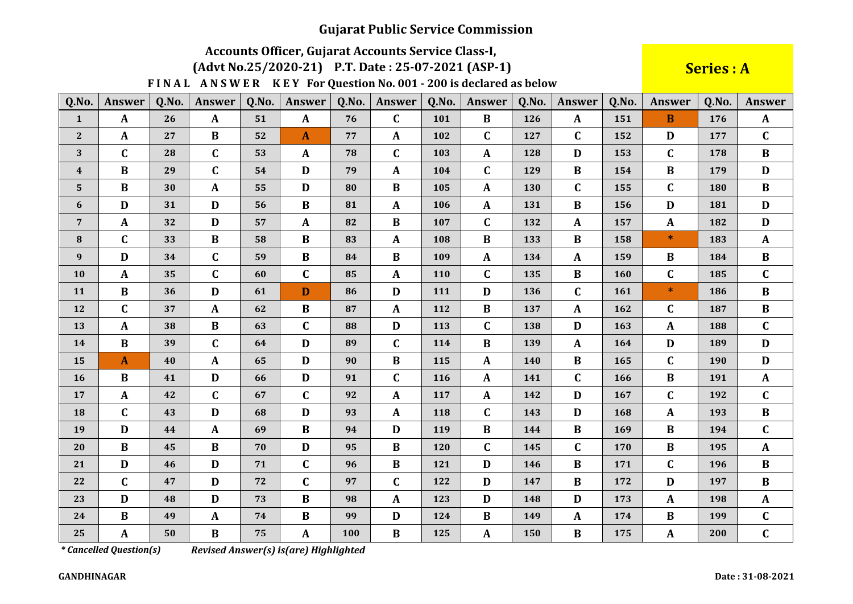# Accounts Officer, Gujarat Accounts Service Class-I,

#### (Advt No.25/2020-21) P.T. Date: 25-07-2021 (ASP-1)

FINAL ANSWER KEY For Question No. 001 - 200 is declared as below

**Series: A** 

| Q.No.        | Answer       | Q.No. | <b>Answer</b> | Q.No. | Answer       | Q.No. | <b>Answer</b> | Q.No. | <b>Answer</b> | Q.No. | <b>Answer</b> | Q.No. | <b>Answer</b> | Q.No. | Answer       |
|--------------|--------------|-------|---------------|-------|--------------|-------|---------------|-------|---------------|-------|---------------|-------|---------------|-------|--------------|
| $\mathbf{1}$ | $\mathbf{A}$ | 26    | $\mathbf{A}$  | 51    | $\mathbf{A}$ | 76    | $\mathbf C$   | 101   | $\bf{B}$      | 126   | $\mathbf{A}$  | 151   | B             | 176   | $\mathbf{A}$ |
| $\mathbf{2}$ | $\mathbf{A}$ | 27    | $\bf{B}$      | 52    | $\mathbf{A}$ | 77    | $\mathbf{A}$  | 102   | $\mathbf C$   | 127   | $\mathbf{C}$  | 152   | D             | 177   | $\mathbf C$  |
| 3            | $\mathbf C$  | 28    | $\mathbf C$   | 53    | $\mathbf{A}$ | 78    | $\mathbf C$   | 103   | $\mathbf{A}$  | 128   | D             | 153   | $\mathbf C$   | 178   | $\bf{B}$     |
| 4            | $\, {\bf B}$ | 29    | C             | 54    | D            | 79    | $\mathbf{A}$  | 104   | $\mathbf C$   | 129   | $\bf{B}$      | 154   | B             | 179   | D            |
| 5            | $\bf{B}$     | 30    | $\mathbf{A}$  | 55    | D            | 80    | $\bf{B}$      | 105   | A             | 130   | $\mathbf C$   | 155   | $\mathbf C$   | 180   | $\bf{B}$     |
| 6            | D            | 31    | D             | 56    | $\bf{B}$     | 81    | $\mathbf{A}$  | 106   | A             | 131   | $\bf{B}$      | 156   | D             | 181   | $\mathbf{D}$ |
| 7            | $\mathbf{A}$ | 32    | D             | 57    | $\mathbf{A}$ | 82    | $\bf{B}$      | 107   | $\mathbf C$   | 132   | $\mathbf{A}$  | 157   | A             | 182   | D            |
| 8            | $\mathbf C$  | 33    | $\bf{B}$      | 58    | B            | 83    | $\mathbf{A}$  | 108   | $\bf{B}$      | 133   | B             | 158   | $\ast$        | 183   | $\mathbf{A}$ |
| 9            | D            | 34    | C             | 59    | $\bf{B}$     | 84    | $\bf{B}$      | 109   | $\mathbf{A}$  | 134   | $\mathbf{A}$  | 159   | B             | 184   | $\bf{B}$     |
| 10           | $\mathbf{A}$ | 35    | $\mathbf C$   | 60    | $\mathbf C$  | 85    | $\mathbf{A}$  | 110   | $\mathbf C$   | 135   | $\bf{B}$      | 160   | $\mathbf C$   | 185   | $\mathbf{C}$ |
| 11           | $\bf{B}$     | 36    | D             | 61    | D            | 86    | $\mathbf D$   | 111   | D             | 136   | $\mathbf{C}$  | 161   | $\ast$        | 186   | $\bf{B}$     |
| 12           | $\mathbf C$  | 37    | $\mathbf{A}$  | 62    | $\bf{B}$     | 87    | $\mathbf{A}$  | 112   | B             | 137   | $\mathbf{A}$  | 162   | $\mathbf C$   | 187   | $\bf{B}$     |
| 13           | $\mathbf{A}$ | 38    | $\bf{B}$      | 63    | $\mathbf{C}$ | 88    | $\mathbf D$   | 113   | $\mathbf C$   | 138   | D             | 163   | $\mathbf A$   | 188   | $\mathbf{C}$ |
| 14           | $\bf{B}$     | 39    | $\mathbf C$   | 64    | D            | 89    | $\mathbf C$   | 114   | $\bf{B}$      | 139   | $\mathbf{A}$  | 164   | D             | 189   | D            |
| 15           | $\mathbf{A}$ | 40    | $\mathbf{A}$  | 65    | D            | 90    | $\bf{B}$      | 115   | A             | 140   | $\bf{B}$      | 165   | $\mathbf C$   | 190   | D            |
| 16           | $\bf{B}$     | 41    | D             | 66    | D            | 91    | $\mathbf C$   | 116   | A             | 141   | $\mathbf{C}$  | 166   | B             | 191   | $\mathbf{A}$ |
| 17           | $\mathbf{A}$ | 42    | $\mathbf C$   | 67    | $\mathbf C$  | 92    | $\mathbf{A}$  | 117   | $\mathbf{A}$  | 142   | D             | 167   | $\mathbf C$   | 192   | $\mathbf{C}$ |
| 18           | $\mathbf C$  | 43    | D             | 68    | D            | 93    | $\mathbf A$   | 118   | $\mathbf C$   | 143   | D             | 168   | $\mathbf A$   | 193   | $\bf{B}$     |
| 19           | D            | 44    | $\mathbf{A}$  | 69    | $\bf{B}$     | 94    | D             | 119   | $\bf{B}$      | 144   | $\bf{B}$      | 169   | B             | 194   | $\mathbf C$  |
| 20           | $\bf{B}$     | 45    | $\bf{B}$      | 70    | D            | 95    | $\bf{B}$      | 120   | $\mathbf C$   | 145   | $\mathbf{C}$  | 170   | $\bf{B}$      | 195   | $\mathbf{A}$ |
| 21           | D            | 46    | D             | 71    | $\mathbf C$  | 96    | $\bf{B}$      | 121   | D             | 146   | $\bf{B}$      | 171   | $\mathbf C$   | 196   | $\bf{B}$     |
| 22           | $\mathbf C$  | 47    | D             | 72    | $\mathbf C$  | 97    | $\mathbf C$   | 122   | D             | 147   | $\bf{B}$      | 172   | D             | 197   | $\bf{B}$     |
| 23           | D            | 48    | D             | 73    | $\bf{B}$     | 98    | $\mathbf{A}$  | 123   | D             | 148   | D             | 173   | A             | 198   | $\mathbf{A}$ |
| 24           | $\, {\bf B}$ | 49    | $\mathbf{A}$  | 74    | $\bf{B}$     | 99    | $\mathbf D$   | 124   | B             | 149   | $\mathbf{A}$  | 174   | B             | 199   | C            |
| 25           | $\mathbf{A}$ | 50    | $\bf{B}$      | 75    | $\mathbf{A}$ | 100   | $\, {\bf B}$  | 125   | $\mathbf{A}$  | 150   | $\bf{B}$      | 175   | A             | 200   | $\mathbf C$  |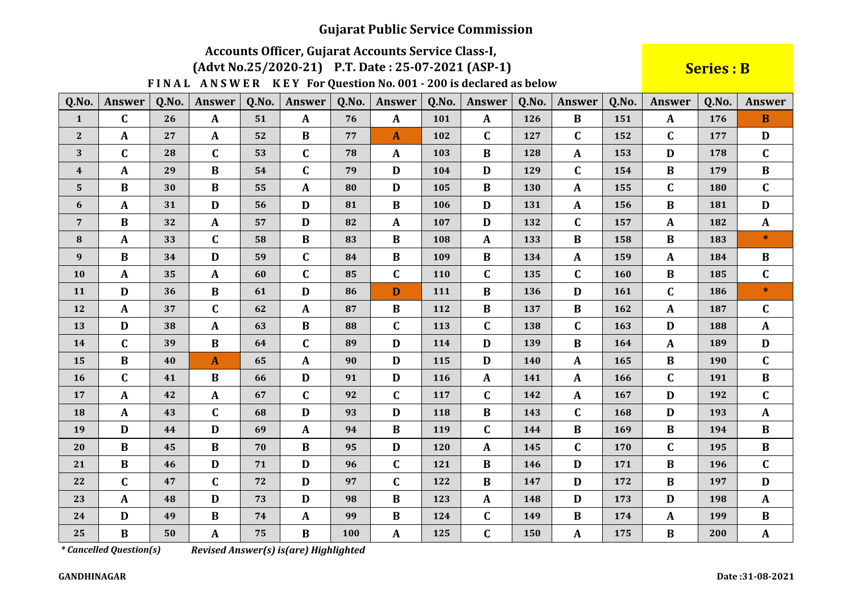# Accounts Officer, Gujarat Accounts Service Class-I,

#### (Advt No.25/2020-21) P.T. Date: 25-07-2021 (ASP-1)

FINAL ANSWER KEY For Question No. 001 - 200 is declared as below

**Series: B** 

| Q.No.          | Answer       | Q.No. | <b>Answer</b>    | Q.No. | <b>Answer</b> | Q.No. | Answer       | Q.No.      | <b>Answer</b> | Q.No. | <b>Answer</b> | Q.No.      | <b>Answer</b> | Q.No. | Answer       |
|----------------|--------------|-------|------------------|-------|---------------|-------|--------------|------------|---------------|-------|---------------|------------|---------------|-------|--------------|
| $\mathbf{1}$   | $\mathbf C$  | 26    | $\boldsymbol{A}$ | 51    | $\mathbf{A}$  | 76    | $\mathbf{A}$ | 101        | $\mathbf{A}$  | 126   | $\bf{B}$      | 151        | $\mathbf{A}$  | 176   | $\mathbf{B}$ |
| $\bf 2$        | $\mathbf{A}$ | 27    | $\mathbf{A}$     | 52    | $\bf{B}$      | 77    | A            | 102        | $\mathbf C$   | 127   | $\mathbf{C}$  | 152        | $\mathbf C$   | 177   | D            |
| 3              | $\mathbf C$  | 28    | $\mathbf C$      | 53    | $\mathbf C$   | 78    | $\mathbf{A}$ | 103        | B             | 128   | $\mathbf{A}$  | 153        | D             | 178   | $\mathbf{C}$ |
| 4              | $\mathbf{A}$ | 29    | $\bf{B}$         | 54    | $\mathbf C$   | 79    | $\mathbf D$  | 104        | D             | 129   | $\mathbf C$   | 154        | $\bf{B}$      | 179   | $\bf{B}$     |
| 5              | $\bf{B}$     | 30    | $\bf{B}$         | 55    | $\mathbf{A}$  | 80    | D            | 105        | $\bf{B}$      | 130   | A             | 155        | $\mathbf C$   | 180   | $\mathbf{C}$ |
| 6              | $\mathbf{A}$ | 31    | D                | 56    | D             | 81    | $\bf{B}$     | 106        | D             | 131   | A             | 156        | $\bf{B}$      | 181   | D            |
| $\overline{7}$ | $\bf{B}$     | 32    | $\mathbf{A}$     | 57    | D             | 82    | $\mathbf{A}$ | 107        | D             | 132   | $\mathbf C$   | 157        | $\mathbf{A}$  | 182   | $\mathbf{A}$ |
| 8              | $\mathbf{A}$ | 33    | $\mathbf C$      | 58    | $\bf{B}$      | 83    | $\bf{B}$     | 108        | A             | 133   | $\bf{B}$      | 158        | $\bf{B}$      | 183   | $\ast$       |
| 9              | $\bf{B}$     | 34    | D                | 59    | $\mathbf C$   | 84    | B            | 109        | B             | 134   | $\mathbf{A}$  | 159        | $\mathbf{A}$  | 184   | B            |
| 10             | $\mathbf{A}$ | 35    | $\mathbf{A}$     | 60    | $\mathbf C$   | 85    | $\mathbf C$  | <b>110</b> | $\mathbf C$   | 135   | $\mathbf{C}$  | <b>160</b> | $\bf{B}$      | 185   | $\mathbf C$  |
| 11             | D            | 36    | $\bf{B}$         | 61    | D             | 86    | D            | 111        | $\bf{B}$      | 136   | D             | 161        | $\mathbf C$   | 186   | $*$          |
| 12             | $\mathbf{A}$ | 37    | $\mathbf C$      | 62    | $\mathbf{A}$  | 87    | $\bf{B}$     | 112        | B             | 137   | $\bf{B}$      | 162        | $\mathbf{A}$  | 187   | $\mathbf C$  |
| 13             | D            | 38    | $\mathbf{A}$     | 63    | $\bf{B}$      | 88    | $\mathbf C$  | 113        | $\mathbf C$   | 138   | $\mathbf{C}$  | 163        | D             | 188   | $\mathbf{A}$ |
| 14             | $\mathbf C$  | 39    | $\bf{B}$         | 64    | $\mathbf{C}$  | 89    | D            | 114        | D             | 139   | $\bf{B}$      | 164        | $\mathbf{A}$  | 189   | D            |
| 15             | $\bf{B}$     | 40    | $\mathbf{A}$     | 65    | $\mathbf{A}$  | 90    | D            | 115        | D             | 140   | A             | 165        | $\bf{B}$      | 190   | $\mathbf{C}$ |
| 16             | $\mathbf C$  | 41    | $\bf{B}$         | 66    | D             | 91    | $\mathbf{D}$ | 116        | $\mathbf{A}$  | 141   | $\mathbf{A}$  | 166        | $\mathbf C$   | 191   | $\bf{B}$     |
| 17             | $\mathbf{A}$ | 42    | $\mathbf{A}$     | 67    | $\mathbf C$   | 92    | $\mathbf C$  | 117        | $\mathbf C$   | 142   | $\mathbf{A}$  | 167        | D             | 192   | $\mathbf C$  |
| 18             | $\mathbf{A}$ | 43    | $\mathbf C$      | 68    | D             | 93    | $\mathbf D$  | 118        | $\bf{B}$      | 143   | $\mathbf C$   | 168        | $\mathbf{D}$  | 193   | $\mathbf{A}$ |
| 19             | D            | 44    | D                | 69    | $\mathbf{A}$  | 94    | $\bf{B}$     | 119        | $\mathbf C$   | 144   | $\bf{B}$      | 169        | $\bf{B}$      | 194   | $\bf{B}$     |
| 20             | $\bf{B}$     | 45    | $\bf{B}$         | 70    | $\bf{B}$      | 95    | $\mathbf{D}$ | 120        | A             | 145   | $\mathbf C$   | 170        | $\mathbf C$   | 195   | $\bf{B}$     |
| 21             | $\bf{B}$     | 46    | D                | 71    | D             | 96    | $\mathbf C$  | 121        | $\bf{B}$      | 146   | D             | 171        | $\bf{B}$      | 196   | $\mathbf{C}$ |
| 22             | $\mathbf C$  | 47    | $\mathbf C$      | 72    | D             | 97    | $\mathbf C$  | 122        | B             | 147   | D             | 172        | $\bf{B}$      | 197   | D            |
| 23             | $\mathbf{A}$ | 48    | $\mathbf D$      | 73    | D             | 98    | B            | 123        | $\mathbf{A}$  | 148   | D             | 173        | D             | 198   | $\mathbf{A}$ |
| 24             | D            | 49    | $\bf{B}$         | 74    | $\mathbf{A}$  | 99    | $\bf{B}$     | 124        | $\mathbf C$   | 149   | $\bf{B}$      | 174        | $\mathbf{A}$  | 199   | $\bf{B}$     |
| 25             | $\bf{B}$     | 50    | $\mathbf{A}$     | 75    | $\bf{B}$      | 100   | $\mathbf A$  | 125        | $\mathbf C$   | 150   | A             | 175        | $\bf{B}$      | 200   | $\mathbf{A}$ |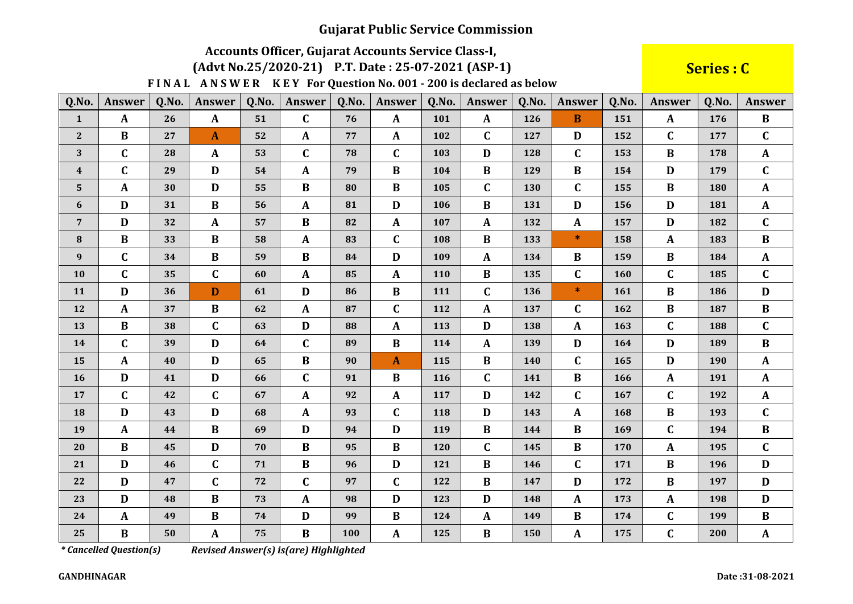# Accounts Officer, Gujarat Accounts Service Class-I,

(Advt No.25/2020-21) P.T. Date: 25-07-2021 (ASP-1)

FINAL ANSWER KEY For Question No. 001 - 200 is declared as below

Series : C

| Q.No.            | Answer       | Q.No. | <b>Answer</b> | Q.No. | <b>Answer</b> | Q.No. | <b>Answer</b> | Q.No. | <b>Answer</b> | Q.No. | <b>Answer</b> | Q.No. | <b>Answer</b> | Q.No. | <b>Answer</b> |
|------------------|--------------|-------|---------------|-------|---------------|-------|---------------|-------|---------------|-------|---------------|-------|---------------|-------|---------------|
| $\mathbf{1}$     | $\mathbf{A}$ | 26    | $\mathbf{A}$  | 51    | $\mathbf{C}$  | 76    | $\mathbf{A}$  | 101   | $\mathbf{A}$  | 126   | $\mathbf{B}$  | 151   | $\mathbf{A}$  | 176   | $\bf{B}$      |
| $2\overline{ }$  | $\bf{B}$     | 27    | $\mathbf{A}$  | 52    | $\mathbf{A}$  | 77    | A             | 102   | $\mathbf C$   | 127   | D             | 152   | $\mathbf C$   | 177   | $\mathbf{C}$  |
| 3                | $\mathbf C$  | 28    | A             | 53    | $\mathbf{C}$  | 78    | $\mathbf C$   | 103   | D             | 128   | $\mathbf{C}$  | 153   | $\bf{B}$      | 178   | $\mathbf{A}$  |
| $\boldsymbol{4}$ | $\mathbf C$  | 29    | $\mathbf D$   | 54    | $\mathbf{A}$  | 79    | $\bf{B}$      | 104   | $\bf{B}$      | 129   | $\bf{B}$      | 154   | D             | 179   | $\mathbf{C}$  |
| 5                | A            | 30    | $\mathbf D$   | 55    | $\bf{B}$      | 80    | $\bf{B}$      | 105   | $\mathbf C$   | 130   | $\mathbf{C}$  | 155   | $\bf{B}$      | 180   | $\mathbf{A}$  |
| 6                | D            | 31    | B             | 56    | $\mathbf{A}$  | 81    | D             | 106   | $\bf{B}$      | 131   | D             | 156   | D             | 181   | $\mathbf{A}$  |
| $\overline{7}$   | $\mathbf{D}$ | 32    | $\mathbf{A}$  | 57    | $\bf{B}$      | 82    | $\mathbf{A}$  | 107   | $\mathbf{A}$  | 132   | $\mathbf{A}$  | 157   | D             | 182   | $\mathbf{C}$  |
| 8                | $\bf{B}$     | 33    | $\bf{B}$      | 58    | $\mathbf{A}$  | 83    | $\mathbf C$   | 108   | $\bf{B}$      | 133   | $\ast$        | 158   | A             | 183   | $\bf{B}$      |
| 9                | $\mathbf C$  | 34    | $\bf{B}$      | 59    | $\bf{B}$      | 84    | D             | 109   | $\mathbf{A}$  | 134   | $\bf{B}$      | 159   | $\bf{B}$      | 184   | $\mathbf{A}$  |
| 10               | $\mathbf{C}$ | 35    | $\mathbf C$   | 60    | $\mathbf{A}$  | 85    | A             | 110   | $\bf{B}$      | 135   | $\mathbf C$   | 160   | $\mathbf C$   | 185   | $\mathbf C$   |
| 11               | $\mathbf D$  | 36    | D             | 61    | D             | 86    | B             | 111   | $\mathbf C$   | 136   | $\ast$        | 161   | B             | 186   | D             |
| 12               | A            | 37    | $\bf{B}$      | 62    | $\mathbf{A}$  | 87    | $\mathbf C$   | 112   | A             | 137   | $\mathbf C$   | 162   | B             | 187   | $\bf{B}$      |
| 13               | $\bf{B}$     | 38    | $\mathbf C$   | 63    | D             | 88    | $\mathbf{A}$  | 113   | D             | 138   | A             | 163   | $\mathbf C$   | 188   | $\mathbf C$   |
| 14               | $\mathbf C$  | 39    | D             | 64    | $\mathbf{C}$  | 89    | $\bf{B}$      | 114   | $\mathbf{A}$  | 139   | D             | 164   | D             | 189   | $\bf{B}$      |
| 15               | $\mathbf{A}$ | 40    | $\mathbf D$   | 65    | $\bf{B}$      | 90    | $\mathbf{A}$  | 115   | $\bf{B}$      | 140   | $\mathbf{C}$  | 165   | D             | 190   | $\mathbf{A}$  |
| 16               | D            | 41    | D             | 66    | $\mathbf{C}$  | 91    | $\bf{B}$      | 116   | $\mathbf C$   | 141   | $\bf{B}$      | 166   | $\mathbf{A}$  | 191   | $\mathbf{A}$  |
| 17               | $\mathbf C$  | 42    | $\mathbf{C}$  | 67    | $\mathbf{A}$  | 92    | A             | 117   | D             | 142   | $\mathbf{C}$  | 167   | $\mathbf C$   | 192   | $\mathbf{A}$  |
| 18               | D            | 43    | $\mathbf D$   | 68    | $\mathbf{A}$  | 93    | $\mathbf C$   | 118   | D             | 143   | $\mathbf{A}$  | 168   | B             | 193   | $\mathbf C$   |
| 19               | $\mathbf{A}$ | 44    | $\bf{B}$      | 69    | D             | 94    | D             | 119   | B             | 144   | $\bf{B}$      | 169   | $\mathbf C$   | 194   | $\bf{B}$      |
| 20               | $\bf{B}$     | 45    | $\mathbf D$   | 70    | $\bf{B}$      | 95    | $\bf{B}$      | 120   | $\mathbf C$   | 145   | $\bf{B}$      | 170   | A             | 195   | $\mathbf{C}$  |
| 21               | D            | 46    | $\mathbf C$   | 71    | $\bf{B}$      | 96    | D             | 121   | $\bf{B}$      | 146   | $\mathbf{C}$  | 171   | $\bf{B}$      | 196   | D             |
| 22               | $\mathbf D$  | 47    | $\mathbf C$   | 72    | $\mathbf{C}$  | 97    | $\mathbf C$   | 122   | $\bf{B}$      | 147   | D             | 172   | $\bf{B}$      | 197   | D             |
| 23               | D            | 48    | $\bf{B}$      | 73    | A             | 98    | D             | 123   | D             | 148   | $\mathbf{A}$  | 173   | A             | 198   | D             |
| 24               | A            | 49    | $\bf{B}$      | 74    | D             | 99    | $\bf{B}$      | 124   | A             | 149   | $\bf{B}$      | 174   | $\mathbf C$   | 199   | $\bf{B}$      |
| 25               | $\bf{B}$     | 50    | ${\bf A}$     | 75    | $\bf{B}$      | 100   | ${\bf A}$     | 125   | $\bf{B}$      | 150   | $\mathbf{A}$  | 175   | $\mathbf C$   | 200   | $\mathbf{A}$  |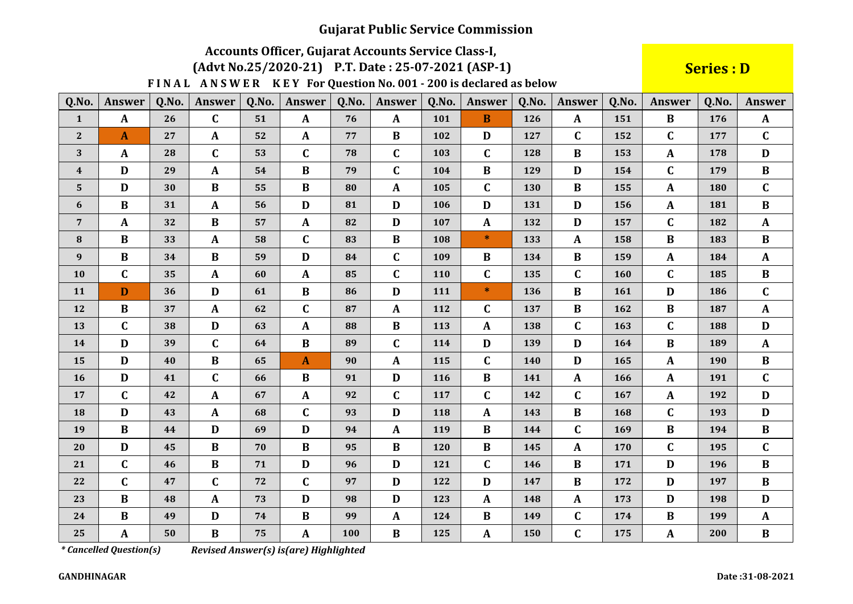# Accounts Officer, Gujarat Accounts Service Class-I,

### (Advt No.25/2020-21) P.T. Date: 25-07-2021 (ASP-1)

FINAL ANSWER KEY For Question No. 001 - 200 is declared as below

**Series: D** 

| Q.No.                   | <b>Answer</b> | Q.No. | <b>Answer</b> | Q.No. | <b>Answer</b> | Q.No. | Answer       | Q.No. | <b>Answer</b> | Q.No. | Answer       | Q.No. | <b>Answer</b> | Q.No. | <b>Answer</b> |
|-------------------------|---------------|-------|---------------|-------|---------------|-------|--------------|-------|---------------|-------|--------------|-------|---------------|-------|---------------|
| $\mathbf{1}$            | $\mathbf{A}$  | 26    | $\mathbf C$   | 51    | $\mathbf{A}$  | 76    | $\mathbf{A}$ | 101   | $\mathbf{B}$  | 126   | $\mathbf{A}$ | 151   | $\bf{B}$      | 176   | $\mathbf{A}$  |
| $\mathbf{2}$            | $\mathbf{A}$  | 27    | $\mathbf A$   | 52    | $\mathbf{A}$  | 77    | $\bf{B}$     | 102   | D             | 127   | $\mathbf C$  | 152   | $\mathbf C$   | 177   | $\mathbf C$   |
| 3                       | $\mathbf{A}$  | 28    | $\mathbf{C}$  | 53    | $\mathbf{C}$  | 78    | $\mathbf C$  | 103   | $\mathbf C$   | 128   | $\bf{B}$     | 153   | A             | 178   | D             |
| $\overline{\mathbf{4}}$ | D             | 29    | $\mathbf{A}$  | 54    | $\bf{B}$      | 79    | $\mathbf C$  | 104   | $\bf{B}$      | 129   | D            | 154   | $\mathbf C$   | 179   | $\bf{B}$      |
| 5                       | D             | 30    | B             | 55    | $\bf{B}$      | 80    | $\mathbf{A}$ | 105   | $\mathbf C$   | 130   | $\bf{B}$     | 155   | A             | 180   | $\mathbf{C}$  |
| 6                       | $\bf{B}$      | 31    | $\mathbf A$   | 56    | D             | 81    | $\mathbf D$  | 106   | D             | 131   | $\mathbf D$  | 156   | A             | 181   | $\bf{B}$      |
| $\overline{7}$          | $\mathbf{A}$  | 32    | B             | 57    | $\mathbf{A}$  | 82    | D            | 107   | $\mathbf{A}$  | 132   | D            | 157   | C             | 182   | $\mathbf{A}$  |
| 8                       | $\bf{B}$      | 33    | $\mathbf A$   | 58    | $\mathbf C$   | 83    | $\bf{B}$     | 108   | $\ast$        | 133   | $\mathbf{A}$ | 158   | $\bf{B}$      | 183   | $\bf{B}$      |
| 9                       | $\bf{B}$      | 34    | $\bf{B}$      | 59    | D             | 84    | $\mathbf C$  | 109   | $\bf{B}$      | 134   | $\bf{B}$     | 159   | A             | 184   | $\mathbf{A}$  |
| 10                      | $\mathbf C$   | 35    | $\mathbf{A}$  | 60    | $\mathbf{A}$  | 85    | $\mathbf C$  | 110   | $\mathbf C$   | 135   | $\mathbf{C}$ | 160   | $\mathbf C$   | 185   | $\bf{B}$      |
| 11                      | D             | 36    | D             | 61    | $\bf{B}$      | 86    | $\mathbf D$  | 111   | $\ast$        | 136   | $\bf{B}$     | 161   | D             | 186   | $\mathbf{C}$  |
| 12                      | $\bf{B}$      | 37    | $\mathbf A$   | 62    | $\mathbf C$   | 87    | $\mathbf{A}$ | 112   | $\mathbf C$   | 137   | $\bf{B}$     | 162   | B             | 187   | $\mathbf{A}$  |
| 13                      | $\mathbf C$   | 38    | $\mathbf D$   | 63    | $\mathbf{A}$  | 88    | $\, {\bf B}$ | 113   | $\mathbf{A}$  | 138   | $\mathbf{C}$ | 163   | $\mathbf C$   | 188   | D             |
| 14                      | D             | 39    | $\mathbf C$   | 64    | $\bf{B}$      | 89    | $\mathbf C$  | 114   | D             | 139   | D            | 164   | B             | 189   | $\mathbf{A}$  |
| 15                      | D             | 40    | $\, {\bf B}$  | 65    | $\mathbf{A}$  | 90    | $\mathbf A$  | 115   | $\mathbf C$   | 140   | D            | 165   | $\mathbf A$   | 190   | $\, {\bf B}$  |
| 16                      | D             | 41    | $\mathbf C$   | 66    | $\bf{B}$      | 91    | D            | 116   | $\bf{B}$      | 141   | $\mathbf{A}$ | 166   | $\mathbf{A}$  | 191   | $\mathbf{C}$  |
| 17                      | $\mathbf C$   | 42    | $\mathbf{A}$  | 67    | $\mathbf{A}$  | 92    | $\mathbf C$  | 117   | $\mathbf C$   | 142   | $\mathbf{C}$ | 167   | A             | 192   | D             |
| 18                      | D             | 43    | $\mathbf{A}$  | 68    | $\mathbf C$   | 93    | D            | 118   | A             | 143   | $\bf{B}$     | 168   | $\mathbf C$   | 193   | D             |
| 19                      | $\bf{B}$      | 44    | D             | 69    | D             | 94    | $\mathbf{A}$ | 119   | $\bf{B}$      | 144   | $\mathbf{C}$ | 169   | B             | 194   | $\bf{B}$      |
| 20                      | D             | 45    | $\bf{B}$      | 70    | $\bf{B}$      | 95    | $\, {\bf B}$ | 120   | $\bf{B}$      | 145   | $\mathbf{A}$ | 170   | $\mathbf C$   | 195   | $\mathbf C$   |
| 21                      | $\mathbf C$   | 46    | $\bf{B}$      | 71    | D             | 96    | $\mathbf D$  | 121   | $\mathbf C$   | 146   | $\bf{B}$     | 171   | D             | 196   | $\bf{B}$      |
| 22                      | $\mathbf C$   | 47    | $\mathbf C$   | 72    | $\mathbf{C}$  | 97    | D            | 122   | D             | 147   | $\bf{B}$     | 172   | D             | 197   | $\bf{B}$      |
| 23                      | $\bf{B}$      | 48    | $\mathbf{A}$  | 73    | D             | 98    | D            | 123   | $\mathbf{A}$  | 148   | $\mathbf{A}$ | 173   | D             | 198   | D             |
| 24                      | $\bf{B}$      | 49    | $\mathbf D$   | 74    | $\bf{B}$      | 99    | $\mathbf{A}$ | 124   | $\bf{B}$      | 149   | $\mathbf C$  | 174   | $\bf{B}$      | 199   | $\mathbf{A}$  |
| 25                      | A             | 50    | $\bf{B}$      | 75    | $\mathbf{A}$  | 100   | $\, {\bf B}$ | 125   | $\mathbf{A}$  | 150   | $\mathbf C$  | 175   | $\mathbf A$   | 200   | $\bf{B}$      |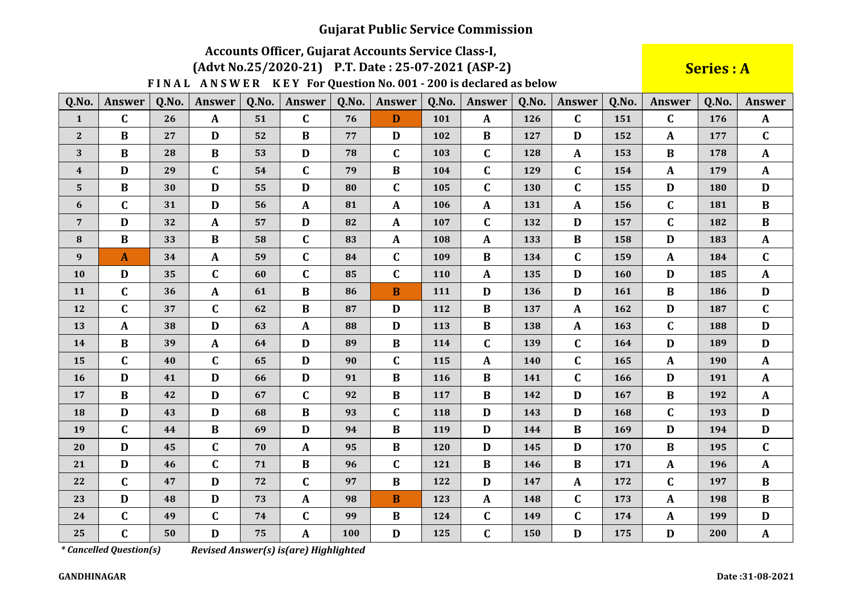# Accounts Officer, Gujarat Accounts Service Class-I,

(Advt No.25/2020-21) P.T. Date: 25-07-2021 (ASP-2)

FINAL ANSWER KEY For Question No. 001 - 200 is declared as below

**Series: A** 

| Q.No.            | Answer       | Q.No. | <b>Answer</b> | Q.No. | <b>Answer</b> | Q.No. | <b>Answer</b> | Q.No.      | <b>Answer</b> | Q.No. | <b>Answer</b> | Q.No.      | <b>Answer</b> | Q.No. | <b>Answer</b> |
|------------------|--------------|-------|---------------|-------|---------------|-------|---------------|------------|---------------|-------|---------------|------------|---------------|-------|---------------|
| $\mathbf{1}$     | $\mathbf C$  | 26    | $\mathbf{A}$  | 51    | $\mathbf C$   | 76    | D             | 101        | $\mathbf{A}$  | 126   | $\mathbf{C}$  | 151        | $\mathbf{C}$  | 176   | $\mathbf{A}$  |
| $\mathbf{2}$     | $\bf{B}$     | 27    | D             | 52    | $\bf{B}$      | 77    | D             | 102        | $\bf{B}$      | 127   | D             | 152        | $\mathbf{A}$  | 177   | $\mathbf C$   |
| 3                | B            | 28    | $\bf{B}$      | 53    | D             | 78    | $\mathbf C$   | 103        | $\mathbf C$   | 128   | $\mathbf{A}$  | 153        | $\bf{B}$      | 178   | $\mathbf{A}$  |
| $\boldsymbol{4}$ | D            | 29    | $\mathbf C$   | 54    | $\mathbf C$   | 79    | $\bf{B}$      | 104        | $\mathbf C$   | 129   | $\mathbf{C}$  | 154        | $\mathbf{A}$  | 179   | $\mathbf{A}$  |
| $5\phantom{.}$   | B            | 30    | D             | 55    | D             | 80    | $\mathbf C$   | 105        | $\mathbf C$   | 130   | $\mathbf{C}$  | 155        | D             | 180   | D             |
| 6                | $\mathbf C$  | 31    | D             | 56    | $\mathbf{A}$  | 81    | A             | 106        | $\mathbf{A}$  | 131   | $\mathbf{A}$  | 156        | $\mathbf C$   | 181   | $\bf{B}$      |
| $\overline{7}$   | D            | 32    | $\mathbf{A}$  | 57    | D             | 82    | $\mathbf{A}$  | 107        | $\mathbf C$   | 132   | D             | 157        | $\mathbf C$   | 182   | $\bf{B}$      |
| ${\bf 8}$        | $\bf{B}$     | 33    | $\bf{B}$      | 58    | $\mathbf C$   | 83    | A             | 108        | $\mathbf{A}$  | 133   | $\bf{B}$      | 158        | D             | 183   | $\mathbf{A}$  |
| 9                | $\mathbf{A}$ | 34    | $\mathbf A$   | 59    | $\mathbf C$   | 84    | $\mathbf C$   | 109        | $\bf{B}$      | 134   | $\mathbf{C}$  | 159        | $\mathbf{A}$  | 184   | $\mathbf C$   |
| 10               | D            | 35    | $\mathbf C$   | 60    | $\mathbf C$   | 85    | $\mathbf C$   | <b>110</b> | $\mathbf{A}$  | 135   | D             | <b>160</b> | D             | 185   | $\mathbf{A}$  |
| 11               | $\mathbf C$  | 36    | $\mathbf A$   | 61    | $\bf{B}$      | 86    | $\bf{B}$      | 111        | D             | 136   | D             | 161        | $\bf{B}$      | 186   | $\mathbf{D}$  |
| 12               | $\mathbf C$  | 37    | $\mathbf{C}$  | 62    | $\bf{B}$      | 87    | D             | 112        | $\bf{B}$      | 137   | $\mathbf{A}$  | 162        | $\mathbf{D}$  | 187   | $\mathbf C$   |
| 13               | $\mathbf{A}$ | 38    | D             | 63    | $\mathbf{A}$  | 88    | D             | 113        | $\bf{B}$      | 138   | $\mathbf{A}$  | 163        | $\mathbf C$   | 188   | $\mathbf D$   |
| 14               | $\bf{B}$     | 39    | $\mathbf{A}$  | 64    | D             | 89    | $\bf{B}$      | 114        | $\mathbf{C}$  | 139   | $\mathbf{C}$  | 164        | D             | 189   | D             |
| 15               | $\mathbf C$  | 40    | $\mathbf{C}$  | 65    | D             | 90    | $\mathbf C$   | 115        | $\mathbf{A}$  | 140   | $\mathbf{C}$  | 165        | $\mathbf{A}$  | 190   | $\mathbf{A}$  |
| 16               | D            | 41    | D             | 66    | D             | 91    | $\bf{B}$      | 116        | $\bf{B}$      | 141   | $\mathbf{C}$  | 166        | D             | 191   | $\mathbf{A}$  |
| 17               | $\bf{B}$     | 42    | D             | 67    | $\mathbf C$   | 92    | $\bf{B}$      | 117        | B             | 142   | D             | 167        | $\bf{B}$      | 192   | $\mathbf{A}$  |
| 18               | D            | 43    | D             | 68    | $\bf{B}$      | 93    | $\mathbf C$   | 118        | D             | 143   | D             | 168        | $\mathbf C$   | 193   | D             |
| 19               | $\mathbf C$  | 44    | $\bf{B}$      | 69    | D             | 94    | $\bf{B}$      | 119        | D             | 144   | $\bf{B}$      | 169        | D             | 194   | D             |
| 20               | D            | 45    | $\mathbf C$   | 70    | $\mathbf{A}$  | 95    | $\bf{B}$      | 120        | D             | 145   | D             | 170        | $\bf{B}$      | 195   | $\mathbf C$   |
| 21               | D            | 46    | $\mathbf C$   | 71    | $\bf{B}$      | 96    | $\mathbf C$   | 121        | $\bf{B}$      | 146   | $\bf{B}$      | 171        | $\mathbf{A}$  | 196   | $\mathbf{A}$  |
| 22               | $\mathbf C$  | 47    | D             | 72    | $\mathbf C$   | 97    | B             | 122        | D             | 147   | $\mathbf{A}$  | 172        | $\mathbf{C}$  | 197   | $\bf{B}$      |
| 23               | D            | 48    | D             | 73    | $\mathbf{A}$  | 98    | $\bf{B}$      | 123        | $\mathbf{A}$  | 148   | $\mathbf{C}$  | 173        | $\mathbf{A}$  | 198   | $\bf{B}$      |
| 24               | $\mathbf C$  | 49    | $\mathbf C$   | 74    | $\mathbf C$   | 99    | $\bf{B}$      | 124        | $\mathbf C$   | 149   | $\mathbf C$   | 174        | $\mathbf{A}$  | 199   | D             |
| 25               | $\mathbf C$  | 50    | $\mathbf{D}$  | 75    | A             | 100   | $\mathbf D$   | 125        | $\mathbf C$   | 150   | D             | 175        | $\mathbf D$   | 200   | ${\bf A}$     |

*\* Cancelled Question(s)* 

Revised Answer(s) is(are) Highlighted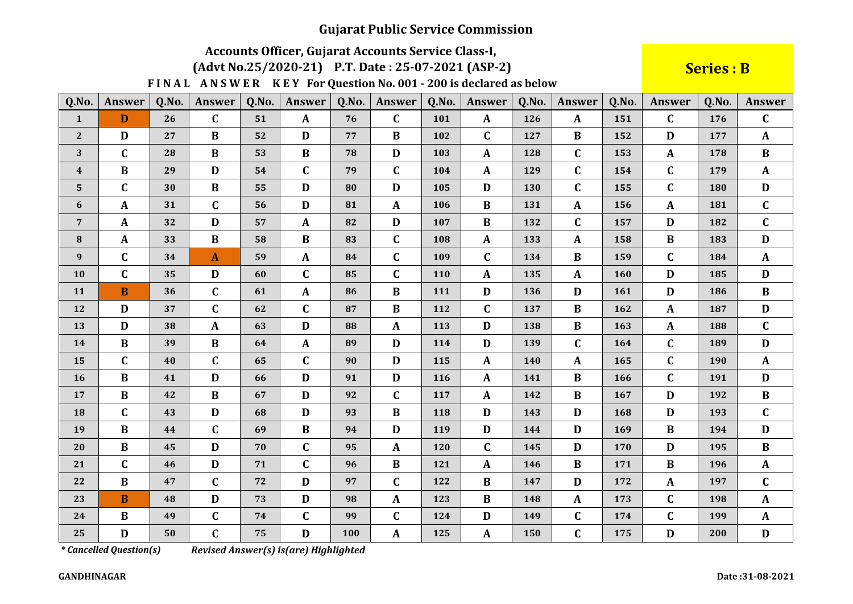# Accounts Officer, Gujarat Accounts Service Class-I,

### (Advt No.25/2020-21) P.T. Date: 25-07-2021 (ASP-2)

FINAL ANSWER KEY For Question No. 001 - 200 is declared as below

**Series: B** 

| Q.No.                   | <b>Answer</b> | Q.No. | <b>Answer</b> | Q.No. | Answer       | Q.No. | Answer       | Q.No. | Answer       | Q.No. | Answer       | Q.No. | <b>Answer</b> | Q.No. | <b>Answer</b> |
|-------------------------|---------------|-------|---------------|-------|--------------|-------|--------------|-------|--------------|-------|--------------|-------|---------------|-------|---------------|
| $\mathbf{1}$            | D             | 26    | $\mathbf C$   | 51    | $\mathbf{A}$ | 76    | $\mathbf C$  | 101   | $\mathbf{A}$ | 126   | $\mathbf{A}$ | 151   | $\mathbf{C}$  | 176   | $\mathbf C$   |
| $\mathbf{2}$            | D             | 27    | $\bf{B}$      | 52    | D            | 77    | $\bf{B}$     | 102   | $\mathbf C$  | 127   | $\bf{B}$     | 152   | D             | 177   | $\mathbf{A}$  |
| 3                       | $\mathbf C$   | 28    | $\bf{B}$      | 53    | $\bf{B}$     | 78    | D            | 103   | $\mathbf{A}$ | 128   | $\mathbf{C}$ | 153   | $\mathbf{A}$  | 178   | $\bf{B}$      |
| $\overline{\mathbf{4}}$ | $\bf{B}$      | 29    | $\mathbf D$   | 54    | $\mathbf C$  | 79    | $\mathbf C$  | 104   | $\mathbf{A}$ | 129   | $\mathbf{C}$ | 154   | $\mathbf C$   | 179   | $\mathbf{A}$  |
| $5\phantom{1}$          | $\mathbf C$   | 30    | $\bf{B}$      | 55    | D            | 80    | D            | 105   | D            | 130   | $\mathbf C$  | 155   | $\mathbf C$   | 180   | D             |
| 6                       | $\mathbf{A}$  | 31    | $\mathbf C$   | 56    | D            | 81    | $\mathbf{A}$ | 106   | $\bf{B}$     | 131   | $\mathbf{A}$ | 156   | $\mathbf{A}$  | 181   | $\mathbf C$   |
| $\overline{7}$          | $\mathbf{A}$  | 32    | $\mathbf{D}$  | 57    | $\mathbf{A}$ | 82    | $\mathbf D$  | 107   | $\bf{B}$     | 132   | $\mathbf C$  | 157   | D             | 182   | $\mathbf C$   |
| ${\bf 8}$               | $\mathbf{A}$  | 33    | $\bf{B}$      | 58    | $\bf{B}$     | 83    | $\mathbf C$  | 108   | $\mathbf{A}$ | 133   | $\mathbf{A}$ | 158   | $\bf{B}$      | 183   | D             |
| 9                       | $\mathbf C$   | 34    | $\mathbf{A}$  | 59    | $\mathbf{A}$ | 84    | $\mathbf C$  | 109   | $\mathbf C$  | 134   | $\bf{B}$     | 159   | $\mathbf C$   | 184   | $\mathbf{A}$  |
| 10                      | $\mathbf C$   | 35    | D             | 60    | $\mathbf C$  | 85    | $\mathbf C$  | 110   | A            | 135   | $\mathbf{A}$ | 160   | D             | 185   | D             |
| 11                      | $\bf{B}$      | 36    | C             | 61    | $\mathbf{A}$ | 86    | $\, {\bf B}$ | 111   | D            | 136   | $\mathbf D$  | 161   | $\mathbf D$   | 186   | $\bf{B}$      |
| 12                      | D             | 37    | $\mathbf C$   | 62    | $\mathbf C$  | 87    | $\bf{B}$     | 112   | $\mathbf C$  | 137   | $\bf{B}$     | 162   | $\mathbf{A}$  | 187   | $\mathbf{D}$  |
| 13                      | D             | 38    | $\mathbf A$   | 63    | D            | 88    | $\mathbf A$  | 113   | D            | 138   | $\bf{B}$     | 163   | $\mathbf A$   | 188   | $\mathbf C$   |
| 14                      | $\bf{B}$      | 39    | $\bf{B}$      | 64    | $\mathbf{A}$ | 89    | D            | 114   | D            | 139   | $\mathbf{C}$ | 164   | $\mathbf C$   | 189   | D             |
| 15                      | $\mathbf C$   | 40    | $\mathbf C$   | 65    | $\mathbf{C}$ | 90    | D            | 115   | $\mathbf{A}$ | 140   | $\mathbf{A}$ | 165   | $\mathbf C$   | 190   | $\mathbf{A}$  |
| 16                      | $\bf{B}$      | 41    | D             | 66    | D            | 91    | D            | 116   | A            | 141   | $\bf{B}$     | 166   | C             | 191   | D             |
| 17                      | $\bf{B}$      | 42    | $\bf{B}$      | 67    | D            | 92    | $\mathbf C$  | 117   | $\mathbf{A}$ | 142   | $\bf{B}$     | 167   | D             | 192   | $\bf{B}$      |
| 18                      | $\mathbf C$   | 43    | $\mathbf D$   | 68    | D            | 93    | $\, {\bf B}$ | 118   | D            | 143   | D            | 168   | D             | 193   | $\mathbf C$   |
| 19                      | $\bf{B}$      | 44    | $\mathbf C$   | 69    | $\bf{B}$     | 94    | D            | 119   | D            | 144   | D            | 169   | B             | 194   | D             |
| 20                      | $\bf{B}$      | 45    | $\mathbf D$   | 70    | $\mathbf C$  | 95    | $\mathbf{A}$ | 120   | $\mathbf C$  | 145   | D            | 170   | D             | 195   | $\bf{B}$      |
| 21                      | $\mathbf C$   | 46    | D             | 71    | $\mathbf C$  | 96    | $\bf{B}$     | 121   | $\mathbf{A}$ | 146   | $\bf{B}$     | 171   | $\bf{B}$      | 196   | $\mathbf{A}$  |
| 22                      | $\bf{B}$      | 47    | C             | 72    | D            | 97    | $\mathbf C$  | 122   | $\bf{B}$     | 147   | D            | 172   | A             | 197   | $\mathbf C$   |
| 23                      | $\bf{B}$      | 48    | D             | 73    | D            | 98    | $\mathbf{A}$ | 123   | B            | 148   | $\mathbf{A}$ | 173   | C             | 198   | $\mathbf{A}$  |
| 24                      | $\bf{B}$      | 49    | C             | 74    | $\mathbf C$  | 99    | $\mathbf C$  | 124   | D            | 149   | $\mathbf C$  | 174   | $\mathbf C$   | 199   | $\mathbf{A}$  |
| 25                      | $\mathbf D$   | 50    | $\mathbf C$   | 75    | D            | 100   | $\mathbf A$  | 125   | $\mathbf{A}$ | 150   | $\mathbf C$  | 175   | $\mathbf D$   | 200   | $\mathbf D$   |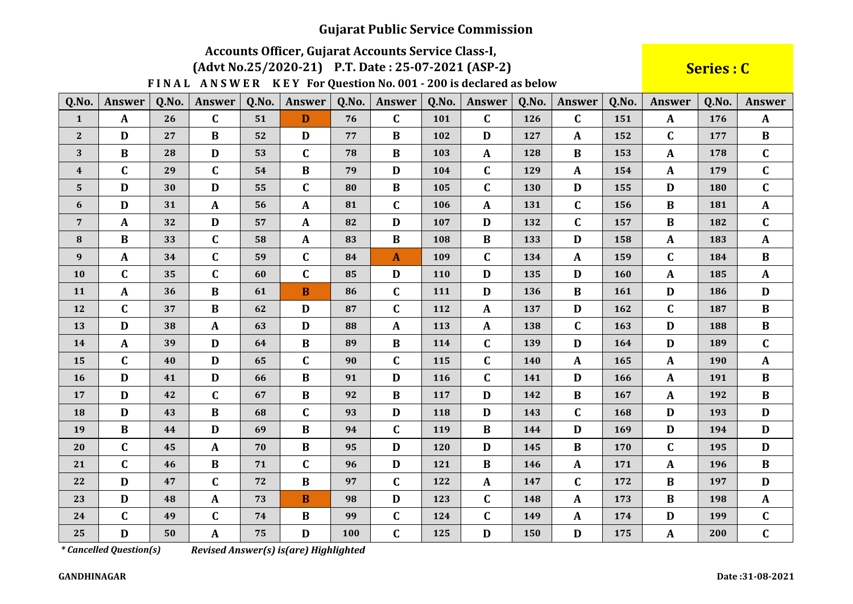# Accounts Officer, Gujarat Accounts Service Class-I,

#### (Advt No.25/2020-21) P.T. Date: 25-07-2021 (ASP-2)

FINAL ANSWER KEY For Question No. 001 - 200 is declared as below

**Series: C** 

| Q.No.                   | <b>Answer</b> | Q.No. | Answer       | Q.No. | <b>Answer</b> | Q.No. | Answer       | Q.No. | Answer       | Q.No. | Answer       | Q.No. | <b>Answer</b> | Q.No. | Answer       |
|-------------------------|---------------|-------|--------------|-------|---------------|-------|--------------|-------|--------------|-------|--------------|-------|---------------|-------|--------------|
| $\mathbf{1}$            | $\mathbf{A}$  | 26    | $\mathbf C$  | 51    | D             | 76    | $\mathbf C$  | 101   | $\mathbf C$  | 126   | $\mathbf C$  | 151   | $\mathbf{A}$  | 176   | $\mathbf{A}$ |
| $\mathbf{2}$            | D             | 27    | $\bf{B}$     | 52    | D             | 77    | $\bf{B}$     | 102   | D            | 127   | $\mathbf{A}$ | 152   | $\mathbf C$   | 177   | $\bf{B}$     |
| 3                       | $\bf{B}$      | 28    | D            | 53    | $\mathbf C$   | 78    | $\bf{B}$     | 103   | A            | 128   | $\bf{B}$     | 153   | $\mathbf{A}$  | 178   | $\mathbf{C}$ |
| $\overline{\mathbf{4}}$ | $\mathbf C$   | 29    | $\mathbf C$  | 54    | $\bf{B}$      | 79    | $\mathbf D$  | 104   | $\mathbf C$  | 129   | $\mathbf{A}$ | 154   | $\mathbf{A}$  | 179   | $\mathbf C$  |
| $5\phantom{1}$          | D             | 30    | $\mathbf D$  | 55    | $\mathbf C$   | 80    | $\bf{B}$     | 105   | $\mathbf C$  | 130   | D            | 155   | D             | 180   | $\mathbf C$  |
| 6                       | D             | 31    | A            | 56    | $\mathbf{A}$  | 81    | $\mathbf C$  | 106   | $\mathbf{A}$ | 131   | $\mathbf C$  | 156   | $\bf{B}$      | 181   | $\mathbf{A}$ |
| $\overline{7}$          | $\mathbf{A}$  | 32    | $\mathbf D$  | 57    | $\mathbf{A}$  | 82    | $\mathbf D$  | 107   | D            | 132   | $\mathbf C$  | 157   | $\bf{B}$      | 182   | $\mathbf C$  |
| $\bf{8}$                | $\bf{B}$      | 33    | $\mathbf C$  | 58    | $\mathbf{A}$  | 83    | $\bf{B}$     | 108   | $\bf{B}$     | 133   | D            | 158   | $\mathbf{A}$  | 183   | $\mathbf{A}$ |
| $\boldsymbol{9}$        | $\mathbf{A}$  | 34    | $\mathbf C$  | 59    | $\mathbf C$   | 84    | $\mathbf{A}$ | 109   | $\mathbf C$  | 134   | $\mathbf{A}$ | 159   | $\mathbf{C}$  | 184   | $\bf{B}$     |
| 10                      | $\mathbf C$   | 35    | $\mathbf C$  | 60    | $\mathbf C$   | 85    | D            | 110   | D            | 135   | D            | 160   | $\mathbf{A}$  | 185   | $\mathbf{A}$ |
| 11                      | $\mathbf A$   | 36    | $\bf{B}$     | 61    | $\mathbf{B}$  | 86    | $\mathbf C$  | 111   | D            | 136   | $\bf{B}$     | 161   | $\mathbf{D}$  | 186   | D            |
| 12                      | $\mathbf C$   | 37    | $\bf{B}$     | 62    | D             | 87    | $\mathbf C$  | 112   | A            | 137   | D            | 162   | $\mathbf C$   | 187   | $\bf{B}$     |
| 13                      | D             | 38    | $\mathbf A$  | 63    | D             | 88    | $\mathbf{A}$ | 113   | $\mathbf{A}$ | 138   | $\mathbf C$  | 163   | $\mathbf{D}$  | 188   | $\bf{B}$     |
| 14                      | $\mathbf{A}$  | 39    | $\mathbf D$  | 64    | $\bf{B}$      | 89    | $\bf{B}$     | 114   | $\mathbf{C}$ | 139   | D            | 164   | D             | 189   | $\mathbf C$  |
| 15                      | $\mathbf{C}$  | 40    | D            | 65    | $\mathbf C$   | 90    | $\mathbf C$  | 115   | $\mathbf C$  | 140   | $\mathbf{A}$ | 165   | $\mathbf{A}$  | 190   | $\mathbf{A}$ |
| 16                      | $\mathbf D$   | 41    | $\mathbf D$  | 66    | $\bf{B}$      | 91    | $\mathbf D$  | 116   | $\mathbf C$  | 141   | D            | 166   | A             | 191   | $\bf{B}$     |
| 17                      | D             | 42    | $\mathbf C$  | 67    | $\bf{B}$      | 92    | $\bf{B}$     | 117   | D            | 142   | $\bf{B}$     | 167   | $\mathbf{A}$  | 192   | B            |
| 18                      | $\mathbf{D}$  | 43    | $\bf{B}$     | 68    | $\mathbf{C}$  | 93    | $\mathbf D$  | 118   | D            | 143   | $\mathbf C$  | 168   | $\mathbf D$   | 193   | $\mathbf D$  |
| 19                      | $\bf{B}$      | 44    | D            | 69    | $\bf{B}$      | 94    | $\mathbf C$  | 119   | $\bf{B}$     | 144   | D            | 169   | D             | 194   | D            |
| 20                      | $\mathbf C$   | 45    | $\mathbf{A}$ | 70    | $\bf{B}$      | 95    | $\mathbf D$  | 120   | D            | 145   | $\bf{B}$     | 170   | $\mathbf C$   | 195   | D            |
| 21                      | $\mathbf C$   | 46    | $\, {\bf B}$ | 71    | $\mathbf C$   | 96    | $\mathbf D$  | 121   | $\bf{B}$     | 146   | $\mathbf{A}$ | 171   | $\mathbf{A}$  | 196   | $\bf{B}$     |
| 22                      | D             | 47    | $\mathbf C$  | 72    | $\bf{B}$      | 97    | $\mathbf C$  | 122   | $\mathbf{A}$ | 147   | $\mathbf C$  | 172   | $\bf{B}$      | 197   | D            |
| 23                      | D             | 48    | $\mathbf{A}$ | 73    | $\bf{B}$      | 98    | $\mathbf D$  | 123   | $\mathbf C$  | 148   | $\mathbf{A}$ | 173   | $\bf{B}$      | 198   | $\mathbf{A}$ |
| 24                      | $\mathbf C$   | 49    | $\mathbf C$  | 74    | $\bf{B}$      | 99    | $\mathbf C$  | 124   | $\mathbf C$  | 149   | $\mathbf{A}$ | 174   | D             | 199   | $\mathbf C$  |
| 25                      | $\mathbf D$   | 50    | $\mathbf A$  | 75    | $\mathbf{D}$  | 100   | $\mathbf C$  | 125   | $\mathbf{D}$ | 150   | $\mathbf{D}$ | 175   | ${\bf A}$     | 200   | $\mathbf C$  |